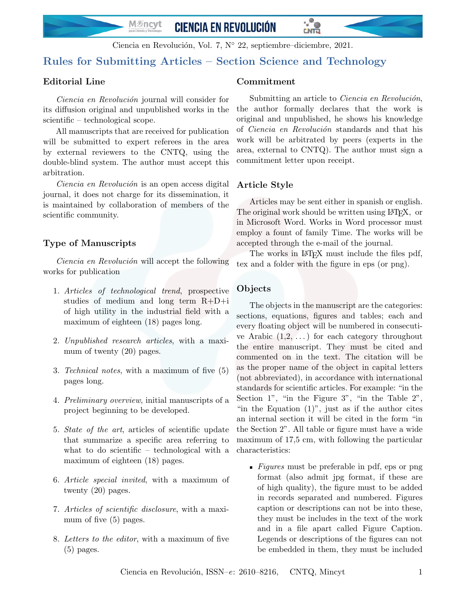M*≸*ncyt **CIENCIA EN REVOLUCIÓN** 

Ciencia en Revolución, Vol. 7, N<sup>o</sup> 22, septiembre–diciembre, 2021.

# Rules for Submitting Articles – Section Science and Technology

## Editorial Line

Ciencia en Revolución journal will consider for its diffusion original and unpublished works in the scientific – technological scope.

All manuscripts that are received for publication will be submitted to expert referees in the area by external reviewers to the CNTQ, using the double-blind system. The author must accept this arbitration.

Ciencia en Revolución is an open access digital journal, it does not charge for its dissemination, it is maintained by collaboration of members of the scientific community.

## Type of Manuscripts

Ciencia en Revolución will accept the following works for publication

- 1. Articles of technological trend, prospective studies of medium and long term  $R+D+i$ of high utility in the industrial field with a maximum of eighteen (18) pages long.
- 2. Unpublished research articles, with a maximum of twenty (20) pages.
- 3. Technical notes, with a maximum of five (5) pages long.
- 4. Preliminary overview, initial manuscripts of a project beginning to be developed.
- 5. State of the art, articles of scientific update that summarize a specific area referring to what to do scientific – technological with a maximum of eighteen (18) pages.
- 6. Article special invited, with a maximum of twenty (20) pages.
- 7. Articles of scientific disclosure, with a maximum of five (5) pages.
- 8. Letters to the editor, with a maximum of five  $(5)$  pages.

## Commitment

Submitting an article to *Ciencia en Revolución*, the author formally declares that the work is original and unpublished, he shows his knowledge of Ciencia en Revolución standards and that his work will be arbitrated by peers (experts in the area, external to CNTQ). The author must sign a commitment letter upon receipt.

<u>LNTTI</u>

## Article Style

Articles may be sent either in spanish or english. The original work should be written using LAT<sub>EX</sub>, or in Microsoft Word. Works in Word processor must employ a fount of family Time. The works will be accepted through the e-mail of the journal.

The works in LAT<sub>EX</sub> must include the files pdf, tex and a folder with the figure in eps (or png).

### Objects

The objects in the manuscript are the categories: sections, equations, figures and tables; each and every floating object will be numbered in consecutive Arabic  $(1,2,\ldots)$  for each category throughout the entire manuscript. They must be cited and commented on in the text. The citation will be as the proper name of the object in capital letters (not abbreviated), in accordance with international standards for scientific articles. For example: "in the Section 1", "in the Figure 3", "in the Table 2", "in the Equation  $(1)$ ", just as if the author cites an internal section it will be cited in the form "in the Section 2". All table or figure must have a wide maximum of 17,5 cm, with following the particular characteristics:

Figures must be preferable in pdf, eps or png format (also admit jpg format, if these are of high quality), the figure must to be added in records separated and numbered. Figures caption or descriptions can not be into these, they must be includes in the text of the work and in a file apart called Figure Caption. Legends or descriptions of the figures can not be embedded in them, they must be included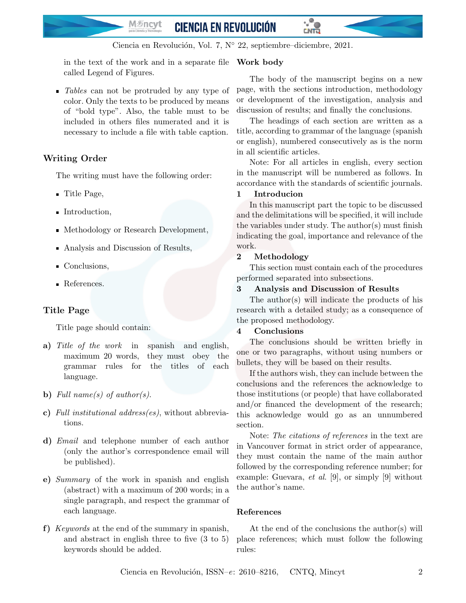M*≸*ncyt **CIENCIA EN REVOLUCIÓN** 

Ciencia en Revolución, Vol. 7, N<sup>o</sup> 22, septiembre–diciembre, 2021.

in the text of the work and in a separate file Work body called Legend of Figures.

If Tables can not be protruded by any type of color. Only the texts to be produced by means of "bold type". Also, the table must to be included in others files numerated and it is necessary to include a file with table caption.

## Writing Order

The writing must have the following order:

- Title Page,
- Introduction,
- Methodology or Research Development,
- Analysis and Discussion of Results,
- Conclusions.
- References.

## Title Page

Title page should contain:

- a) Title of the work in spanish and english, maximum 20 words, they must obey the grammar rules for the titles of each language.
- b) Full name(s) of author(s).
- c) Full institutional address(es), without abbreviations.
- d) Email and telephone number of each author (only the author's correspondence email will be published).
- e) Summary of the work in spanish and english (abstract) with a maximum of 200 words; in a single paragraph, and respect the grammar of each language.
- f) Keywords at the end of the summary in spanish, and abstract in english three to five (3 to 5) keywords should be added.

The body of the manuscript begins on a new page, with the sections introduction, methodology or development of the investigation, analysis and discussion of results; and finally the conclusions.

<u>LNTTI</u>

The headings of each section are written as a title, according to grammar of the language (spanish or english), numbered consecutively as is the norm in all scientific articles.

Note: For all articles in english, every section in the manuscript will be numbered as follows. In accordance with the standards of scientific journals.

## 1 Introducion

In this manuscript part the topic to be discussed and the delimitations will be specified, it will include the variables under study. The author(s) must finish indicating the goal, importance and relevance of the work.

### 2 Methodology

This section must contain each of the procedures performed separated into subsections.

### 3 Analysis and Discussion of Results

The author(s) will indicate the products of his research with a detailed study; as a consequence of the proposed methodology.

### 4 Conclusions

The conclusions should be written briefly in one or two paragraphs, without using numbers or bullets, they will be based on their results.

If the authors wish, they can include between the conclusions and the references the acknowledge to those institutions (or people) that have collaborated and/or financed the development of the research; this acknowledge would go as an unnumbered section.

Note: The citations of references in the text are in Vancouver format in strict order of appearance, they must contain the name of the main author followed by the corresponding reference number; for example: Guevara, et al. [9], or simply [9] without the author's name.

### References

At the end of the conclusions the author(s) will place references; which must follow the following rules: